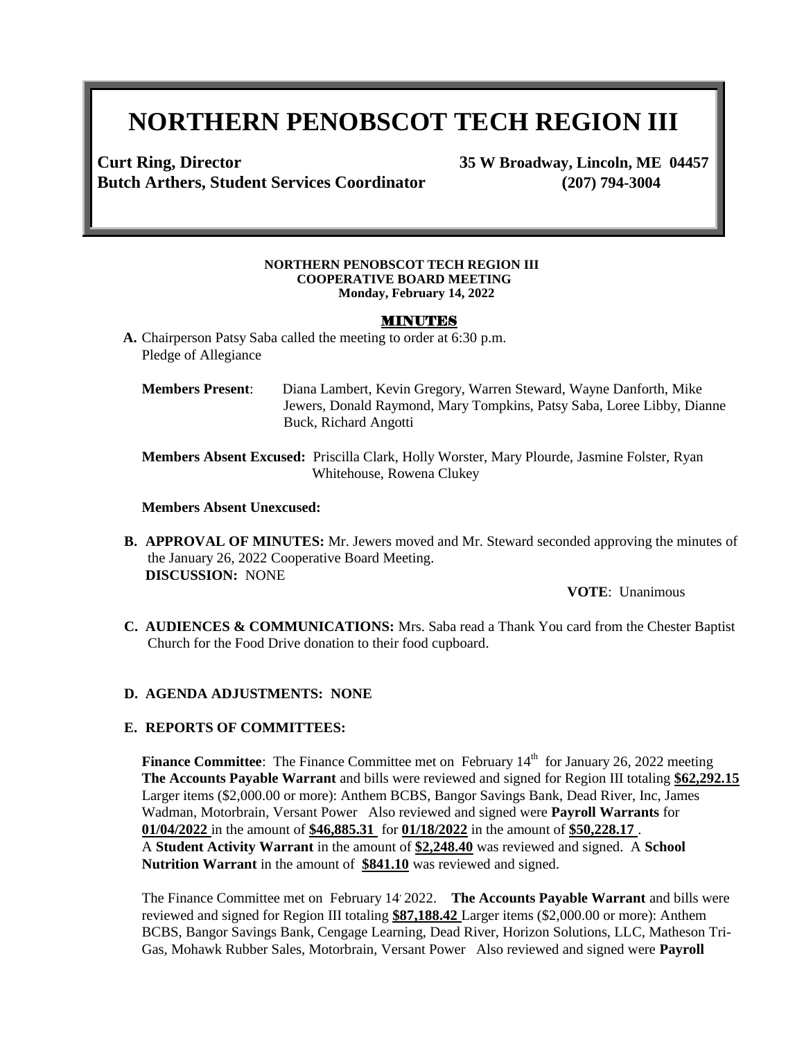# **NORTHERN PENOBSCOT TECH REGION III**

**Curt Ring, Director 35 W Broadway, Lincoln, ME 04457 Butch Arthers, Student Services Coordinator (207) 794-3004**

#### **NORTHERN PENOBSCOT TECH REGION III COOPERATIVE BOARD MEETING Monday, February 14, 2022**

#### MINUTES

- **A.** Chairperson Patsy Saba called the meeting to order at 6:30 p.m. Pledge of Allegiance
	- **Members Present**: Diana Lambert, Kevin Gregory, Warren Steward, Wayne Danforth, Mike Jewers, Donald Raymond, Mary Tompkins, Patsy Saba, Loree Libby, Dianne Buck, Richard Angotti

**Members Absent Excused:** Priscilla Clark, Holly Worster, Mary Plourde, Jasmine Folster, Ryan Whitehouse, Rowena Clukey

#### **Members Absent Unexcused:**

**B. APPROVAL OF MINUTES:** Mr. Jewers moved and Mr. Steward seconded approving the minutes of the January 26, 2022 Cooperative Board Meeting. **DISCUSSION:** NONE

**VOTE**: Unanimous

**C. AUDIENCES & COMMUNICATIONS:** Mrs. Saba read a Thank You card from the Chester Baptist Church for the Food Drive donation to their food cupboard.

#### **D. AGENDA ADJUSTMENTS: NONE**

#### **E. REPORTS OF COMMITTEES:**

**Finance Committee**: The Finance Committee met on February 14<sup>th</sup> for January 26, 2022 meeting **The Accounts Payable Warrant** and bills were reviewed and signed for Region III totaling **\$62,292.15** Larger items (\$2,000.00 or more): Anthem BCBS, Bangor Savings Bank, Dead River, Inc, James Wadman, Motorbrain, Versant Power Also reviewed and signed were **Payroll Warrants** for **01/04/2022** in the amount of **\$46,885.31** for **01/18/2022** in the amount of **\$50,228.17** . A **Student Activity Warrant** in the amount of **\$2,248.40** was reviewed and signed. A **School Nutrition Warrant** in the amount of **\$841.10** was reviewed and signed.

The Finance Committee met on February 14, 2022. **The Accounts Payable Warrant** and bills were reviewed and signed for Region III totaling **\$87,188.42** Larger items (\$2,000.00 or more): Anthem BCBS, Bangor Savings Bank, Cengage Learning, Dead River, Horizon Solutions, LLC, Matheson Tri-Gas, Mohawk Rubber Sales, Motorbrain, Versant Power Also reviewed and signed were **Payroll**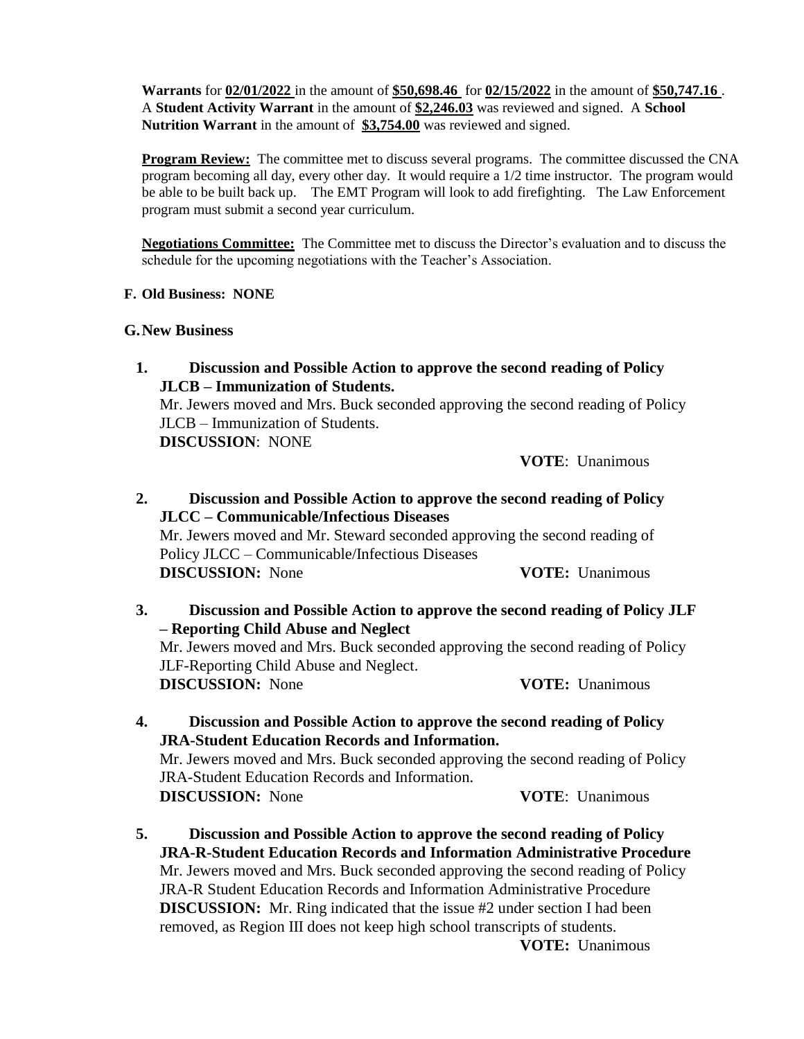**Warrants** for **02/01/2022** in the amount of **\$50,698.46** for **02/15/2022** in the amount of **\$50,747.16** . A **Student Activity Warrant** in the amount of **\$2,246.03** was reviewed and signed. A **School Nutrition Warrant** in the amount of **\$3,754.00** was reviewed and signed.

**Program Review:** The committee met to discuss several programs. The committee discussed the CNA program becoming all day, every other day. It would require a 1/2 time instructor. The program would be able to be built back up. The EMT Program will look to add firefighting. The Law Enforcement program must submit a second year curriculum.

**Negotiations Committee:** The Committee met to discuss the Director's evaluation and to discuss the schedule for the upcoming negotiations with the Teacher's Association.

## **F. Old Business: NONE**

## **G.New Business**

**1. Discussion and Possible Action to approve the second reading of Policy JLCB – Immunization of Students.**  Mr. Jewers moved and Mrs. Buck seconded approving the second reading of Policy JLCB – Immunization of Students. **DISCUSSION**: NONE

**VOTE**: Unanimous

- **2. Discussion and Possible Action to approve the second reading of Policy JLCC – Communicable/Infectious Diseases** Mr. Jewers moved and Mr. Steward seconded approving the second reading of Policy JLCC – Communicable/Infectious Diseases **DISCUSSION:** None **VOTE:** Unanimous
- **3. Discussion and Possible Action to approve the second reading of Policy JLF – Reporting Child Abuse and Neglect** Mr. Jewers moved and Mrs. Buck seconded approving the second reading of Policy JLF-Reporting Child Abuse and Neglect. **DISCUSSION:** None **VOTE:** Unanimous
- **4. Discussion and Possible Action to approve the second reading of Policy JRA-Student Education Records and Information.** Mr. Jewers moved and Mrs. Buck seconded approving the second reading of Policy JRA-Student Education Records and Information. **DISCUSSION:** None **VOTE**: Unanimous
- **5. Discussion and Possible Action to approve the second reading of Policy JRA-R-Student Education Records and Information Administrative Procedure** Mr. Jewers moved and Mrs. Buck seconded approving the second reading of Policy JRA-R Student Education Records and Information Administrative Procedure **DISCUSSION:** Mr. Ring indicated that the issue #2 under section I had been removed, as Region III does not keep high school transcripts of students.

**VOTE:** Unanimous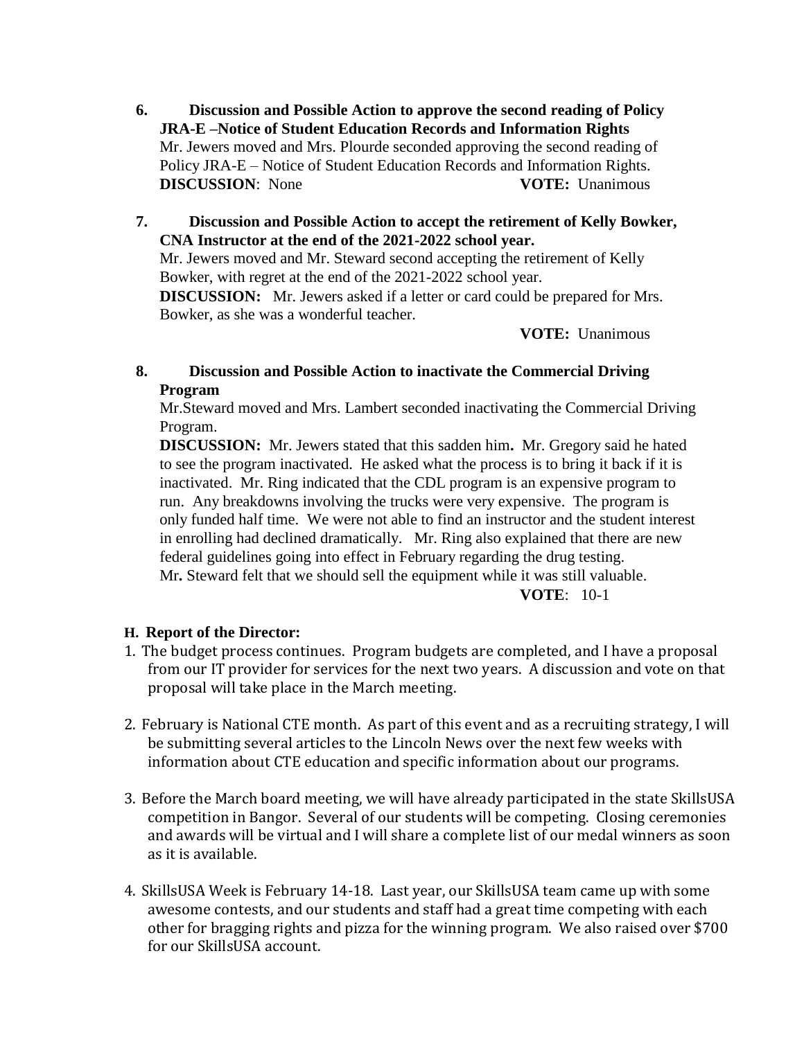- **6. Discussion and Possible Action to approve the second reading of Policy JRA-E –Notice of Student Education Records and Information Rights** Mr. Jewers moved and Mrs. Plourde seconded approving the second reading of Policy JRA-E – Notice of Student Education Records and Information Rights. **DISCUSSION:** None **VOTE:** Unanimous
- **7. Discussion and Possible Action to accept the retirement of Kelly Bowker, CNA Instructor at the end of the 2021-2022 school year.**  Mr. Jewers moved and Mr. Steward second accepting the retirement of Kelly Bowker, with regret at the end of the 2021-2022 school year. **DISCUSSION:** Mr. Jewers asked if a letter or card could be prepared for Mrs. Bowker, as she was a wonderful teacher.

**VOTE:** Unanimous

**8. Discussion and Possible Action to inactivate the Commercial Driving Program**

Mr.Steward moved and Mrs. Lambert seconded inactivating the Commercial Driving Program.

**DISCUSSION:** Mr. Jewers stated that this sadden him**.** Mr. Gregory said he hated to see the program inactivated. He asked what the process is to bring it back if it is inactivated. Mr. Ring indicated that the CDL program is an expensive program to run. Any breakdowns involving the trucks were very expensive. The program is only funded half time. We were not able to find an instructor and the student interest in enrolling had declined dramatically. Mr. Ring also explained that there are new federal guidelines going into effect in February regarding the drug testing. Mr**.** Steward felt that we should sell the equipment while it was still valuable.

**VOTE**: 10-1

# **H. Report of the Director:**

- 1. The budget process continues. Program budgets are completed, and I have a proposal from our IT provider for services for the next two years. A discussion and vote on that proposal will take place in the March meeting.
- 2. February is National CTE month. As part of this event and as a recruiting strategy, I will be submitting several articles to the Lincoln News over the next few weeks with information about CTE education and specific information about our programs.
- 3. Before the March board meeting, we will have already participated in the state SkillsUSA competition in Bangor. Several of our students will be competing. Closing ceremonies and awards will be virtual and I will share a complete list of our medal winners as soon as it is available.
- 4. SkillsUSA Week is February 14-18. Last year, our SkillsUSA team came up with some awesome contests, and our students and staff had a great time competing with each other for bragging rights and pizza for the winning program. We also raised over \$700 for our SkillsUSA account.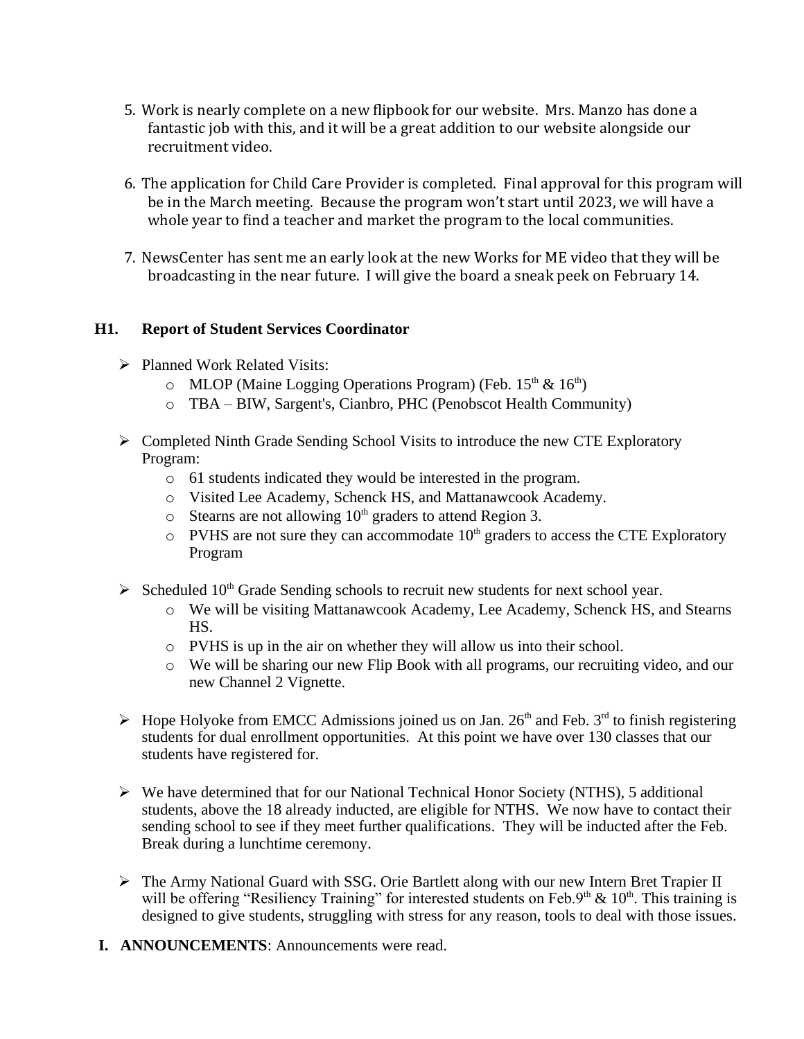- 5. Work is nearly complete on a new flipbook for our website. Mrs. Manzo has done a fantastic job with this, and it will be a great addition to our website alongside our recruitment video.
- 6. The application for Child Care Provider is completed. Final approval for this program will be in the March meeting. Because the program won't start until 2023, we will have a whole year to find a teacher and market the program to the local communities.
- 7. NewsCenter has sent me an early look at the new Works for ME video that they will be broadcasting in the near future. I will give the board a sneak peek on February 14.

## **H1. Report of Student Services Coordinator**

- $\triangleright$  Planned Work Related Visits:
	- $\circ$  MLOP (Maine Logging Operations Program) (Feb. 15<sup>th</sup> & 16<sup>th</sup>)
	- o TBA BIW, Sargent's, Cianbro, PHC (Penobscot Health Community)
- $\triangleright$  Completed Ninth Grade Sending School Visits to introduce the new CTE Exploratory Program:
	- o 61 students indicated they would be interested in the program.
	- o Visited Lee Academy, Schenck HS, and Mattanawcook Academy.
	- $\circ$  Stearns are not allowing 10<sup>th</sup> graders to attend Region 3.
	- $\circ$  PVHS are not sure they can accommodate  $10<sup>th</sup>$  graders to access the CTE Exploratory Program
- $\triangleright$  Scheduled 10<sup>th</sup> Grade Sending schools to recruit new students for next school year.
	- o We will be visiting Mattanawcook Academy, Lee Academy, Schenck HS, and Stearns HS.
	- o PVHS is up in the air on whether they will allow us into their school.
	- o We will be sharing our new Flip Book with all programs, our recruiting video, and our new Channel 2 Vignette.
- $\triangleright$  Hope Holyoke from EMCC Admissions joined us on Jan. 26<sup>th</sup> and Feb. 3<sup>rd</sup> to finish registering students for dual enrollment opportunities. At this point we have over 130 classes that our students have registered for.
- $\triangleright$  We have determined that for our National Technical Honor Society (NTHS), 5 additional students, above the 18 already inducted, are eligible for NTHS. We now have to contact their sending school to see if they meet further qualifications. They will be inducted after the Feb. Break during a lunchtime ceremony.
- The Army National Guard with SSG. Orie Bartlett along with our new Intern Bret Trapier II will be offering "Resiliency Training" for interested students on Feb.9<sup>th</sup> &  $10<sup>th</sup>$ . This training is designed to give students, struggling with stress for any reason, tools to deal with those issues.
- **I. ANNOUNCEMENTS**: Announcements were read.